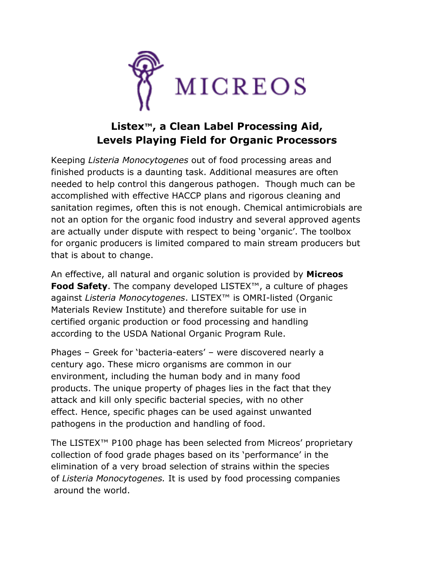

## **Listex™, a Clean Label Processing Aid, Levels Playing Field for Organic Processors**

Keeping *Listeria Monocytogenes* out of food processing areas and finished products is a daunting task. Additional measures are often needed to help control this dangerous pathogen. Though much can be accomplished with effective HACCP plans and rigorous cleaning and sanitation regimes, often this is not enough. Chemical antimicrobials are not an option for the organic food industry and several approved agents are actually under dispute with respect to being 'organic'. The toolbox for organic producers is limited compared to main stream producers but that is about to change.

An effective, all natural and organic solution is provided by **Micreos Food Safety**. The company developed LISTEX™, a culture of phages against *Listeria Monocytogenes*. LISTEX™ is OMRI-listed (Organic Materials Review Institute) and therefore suitable for use in certified organic production or food processing and handling according to the USDA National Organic Program Rule.

Phages – Greek for 'bacteria-eaters' – were discovered nearly a century ago. These micro organisms are common in our environment, including the human body and in many food products. The unique property of phages lies in the fact that they attack and kill only specific bacterial species, with no other effect. Hence, specific phages can be used against unwanted pathogens in the production and handling of food.

The LISTEX™ P100 phage has been selected from Micreos' proprietary collection of food grade phages based on its 'performance' in the elimination of a very broad selection of strains within the species of *Listeria Monocytogenes.* It is used by food processing companies around the world.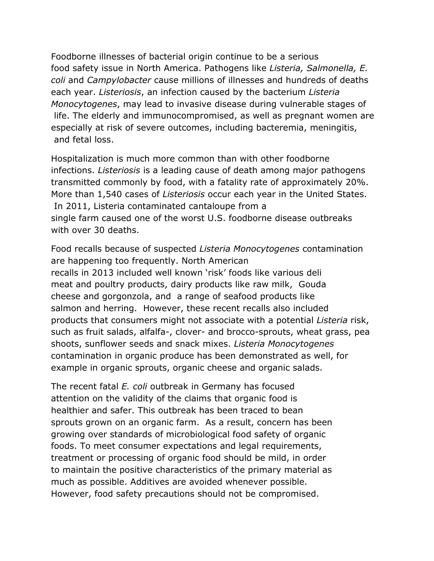Foodborne illnesses of bacterial origin continue to be a serious food safety issue in North America. Pathogens like *Listeria, Salmonella, E. coli* and *Campylobacter* cause millions of illnesses and hundreds of deaths each year. *Listeriosis*, an infection caused by the bacterium *Listeria Monocytogenes*, may lead to invasive disease during vulnerable stages of life. The elderly and immunocompromised, as well as pregnant women are especially at risk of severe outcomes, including bacteremia, meningitis, and fetal loss.

Hospitalization is much more common than with other foodborne infections. *Listeriosis* is a leading cause of death among major pathogens transmitted commonly by food, with a fatality rate of approximately 20%. More than 1,540 cases of *Listeriosis* occur each year in the United States. In 2011, Listeria contaminated cantaloupe from a single farm caused one of the worst U.S. foodborne disease outbreaks with over 30 deaths.

Food recalls because of suspected *Listeria Monocytogenes* contamination are happening too frequently. North American recalls in 2013 included well known 'risk' foods like various deli meat and poultry products, dairy products like raw milk, Gouda cheese and gorgonzola, and a range of seafood products like salmon and herring. However, these recent recalls also included products that consumers might not associate with a potential *Listeria* risk, such as fruit salads, alfalfa-, clover- and brocco-sprouts, wheat grass, pea shoots, sunflower seeds and snack mixes. *Listeria Monocytogenes* contamination in organic produce has been demonstrated as well, for example in organic sprouts, organic cheese and organic salads.

The recent fatal *E. coli* outbreak in Germany has focused attention on the validity of the claims that organic food is healthier and safer. This outbreak has been traced to bean sprouts grown on an organic farm. As a result, concern has been growing over standards of microbiological food safety of organic foods. To meet consumer expectations and legal requirements, treatment or processing of organic food should be mild, in order to maintain the positive characteristics of the primary material as much as possible. Additives are avoided whenever possible. However, food safety precautions should not be compromised.